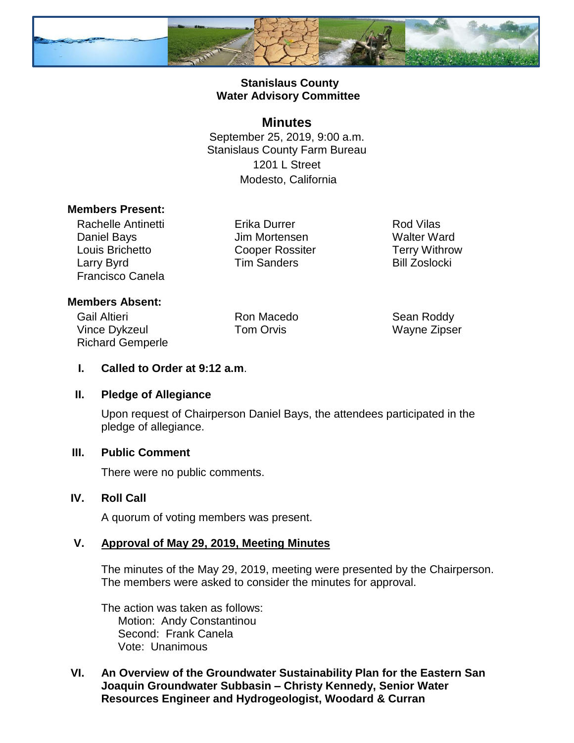

## **Stanislaus County Water Advisory Committee**

### **Minutes**

September 25, 2019, 9:00 a.m. Stanislaus County Farm Bureau 1201 L Street Modesto, California

### **Members Present:**

Rachelle Antinetti Daniel Bays Louis Brichetto Larry Byrd Francisco Canela

Erika Durrer Jim Mortensen Cooper Rossiter Tim Sanders

Rod Vilas Walter Ward Terry Withrow Bill Zoslocki

## **Members Absent:**

Gail Altieri Vince Dykzeul Richard Gemperle

Ron Macedo Tom Orvis

Sean Roddy Wayne Zipser

### **I. Called to Order at 9:12 a.m**.

#### **II. Pledge of Allegiance**

Upon request of Chairperson Daniel Bays, the attendees participated in the pledge of allegiance.

#### **III. Public Comment**

There were no public comments.

#### **IV. Roll Call**

A quorum of voting members was present.

## **V. Approval of May 29, 2019, Meeting Minutes**

The minutes of the May 29, 2019, meeting were presented by the Chairperson. The members were asked to consider the minutes for approval.

The action was taken as follows: Motion: Andy Constantinou Second: Frank Canela Vote: Unanimous

## **VI. An Overview of the Groundwater Sustainability Plan for the Eastern San Joaquin Groundwater Subbasin – Christy Kennedy, Senior Water Resources Engineer and Hydrogeologist, Woodard & Curran**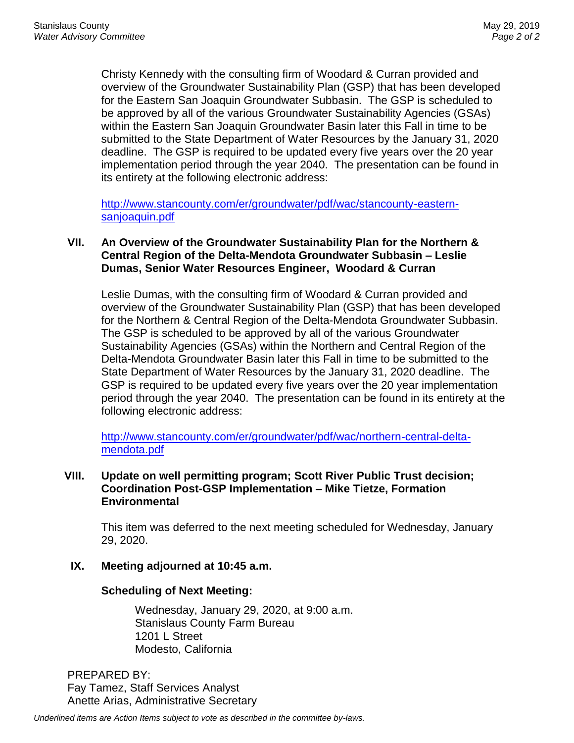Christy Kennedy with the consulting firm of Woodard & Curran provided and overview of the Groundwater Sustainability Plan (GSP) that has been developed for the Eastern San Joaquin Groundwater Subbasin. The GSP is scheduled to be approved by all of the various Groundwater Sustainability Agencies (GSAs) within the Eastern San Joaquin Groundwater Basin later this Fall in time to be submitted to the State Department of Water Resources by the January 31, 2020 deadline. The GSP is required to be updated every five years over the 20 year implementation period through the year 2040. The presentation can be found in its entirety at the following electronic address:

[http://www.stancounty.com/er/groundwater/pdf/wac/stancounty-eastern](http://www.stancounty.com/er/groundwater/pdf/wac/stancounty-eastern-sanjoaquin.pdf)[sanjoaquin.pdf](http://www.stancounty.com/er/groundwater/pdf/wac/stancounty-eastern-sanjoaquin.pdf)

## **VII. An Overview of the Groundwater Sustainability Plan for the Northern & Central Region of the Delta-Mendota Groundwater Subbasin – Leslie Dumas, Senior Water Resources Engineer, Woodard & Curran**

Leslie Dumas, with the consulting firm of Woodard & Curran provided and overview of the Groundwater Sustainability Plan (GSP) that has been developed for the Northern & Central Region of the Delta-Mendota Groundwater Subbasin. The GSP is scheduled to be approved by all of the various Groundwater Sustainability Agencies (GSAs) within the Northern and Central Region of the Delta-Mendota Groundwater Basin later this Fall in time to be submitted to the State Department of Water Resources by the January 31, 2020 deadline. The GSP is required to be updated every five years over the 20 year implementation period through the year 2040. The presentation can be found in its entirety at the following electronic address:

[http://www.stancounty.com/er/groundwater/pdf/wac/northern-central-delta](http://www.stancounty.com/er/groundwater/pdf/wac/northern-central-delta-mendota.pdf)[mendota.pdf](http://www.stancounty.com/er/groundwater/pdf/wac/northern-central-delta-mendota.pdf)

### **VIII. Update on well permitting program; Scott River Public Trust decision; Coordination Post-GSP Implementation – Mike Tietze, Formation Environmental**

This item was deferred to the next meeting scheduled for Wednesday, January 29, 2020.

## **IX. Meeting adjourned at 10:45 a.m.**

## **Scheduling of Next Meeting:**

Wednesday, January 29, 2020, at 9:00 a.m. Stanislaus County Farm Bureau 1201 L Street Modesto, California

PREPARED BY: Fay Tamez, Staff Services Analyst Anette Arias, Administrative Secretary